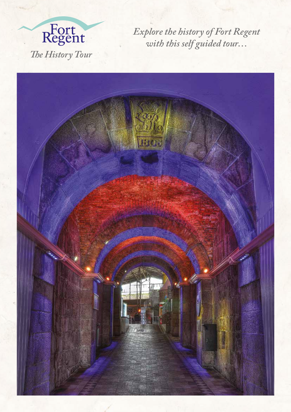

*Explore the history of Fort Regent with this self guided tour…*

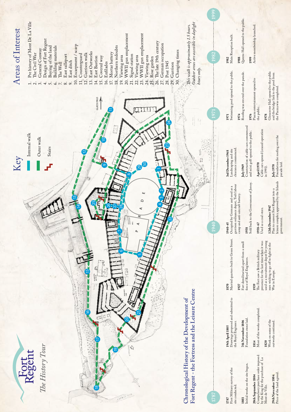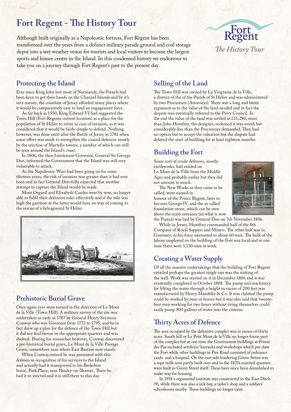# **Fort Regent - The History Tour**

Although built originally as a Napoleonic fortress, Fort Regent has been transformed over the years from a defunct military parade ground and coal storage depot into a wet weather venue for tourists and local visitors to become the largest sports and leisure centre in the Island. In this condensed history we endeavour to take you on a journey through Fort Regent's past to the present day.



#### **Protecting the Island**

Ever since King John lost most of Normandy, the French had been keen to get their hands on the Channel Islands and by it's very nature, the coastline of Jersey afforded many places where it would be comparatively easy to land an engagement force.

As far back as 1550, King Edward VI had suggested the Town Hill (Fort Regents current location) as a place for the population of St Helier to retire in case of invasion, as it was considered that it would be fairly simple to defend. Nothing, however, was done until after the Battle of Jersey in 1781 when some effort was made to strengthen the coastal defences mostly by the erection of Martello towers, a number of which can still be seen around the Island's coast.

In 1806, the then Lieutenant-Governor, General Sir George Don, informed the Government that the Island was still very vulnerable to attack.

As the Napoleonic Wars had been going on for some thirteen years, the risk of invasion was greater than it had ever been and in fact General Don fully expected that another attempt to capture the Island would be made.

Mont Orgueil and Elizabeth Castles were by now, no longer able to fulfil their defensive roles effectively and if the tide was high the garrison at the latter would have no way of coming to the rescue of a beleaguered St Helier.



#### **Prehistoric Burial Grave**

Once again eyes were turned in the direction of Le Mont de la Ville (Town Hill). A military survey of the site was undertaken as early as 1787 by General Henry Seymour Conway who was Governor from 1772 to 1795, and he in fact drew up a plan for the defence of the Town Hill but it did not find favour in the appropriate quarters and was shelved. During his researches however, Conway discovered a pre-historical burial grave, Le Mont de la Ville Passage Grave, somewhere near where East Bastion now stands.

When Conway retired he was presented with this dolmen in recognition of his services to the Island and actually had it transported to his Berkshire home, Park Place, near Henley-on-Thames. There he had it re-erected and it is still there to this day.

#### **Selling of the Land**

The Town Hill was owned by La Vingtaine de la Ville, a district of the of the Parish of St Helier and was administered by two Procureurs (Attorneys). There was a long and bitter argument as to the value of the land needed and in fact the dispute was eventually referred to the Privy Council. In the end the value of the land was settled at £11,280, more than John Humfrey, the designer, reckoned it was worth but considerably less than the Procureurs demanded. They had no option but to accept the valuation but the dispute had delayed the start of building for at least eighteen months.

# **Building the Fort**

Some sort of crude defences, mostly earthworks, had existed on Le Mont de la Ville from the Middle Ages and probably earlier but they did

not amount to much. The New Works as they came to be called, were named in honour of the Prince Regent, later to become George IV, and the so called

foundation-stone, which can be seen



above the main entrance (in what is now the Piazza) was laid by General Don on 7th November 1806.

While in Jersey, Humfrey commanded half of the 8th Company of Royal Sappers and Miners. The other half was in Guernsey, so his force amounted to about 60 men. The bulk of the labour employed on the building of the Fort was local and at one time there were 1,130 men at work.

# **Creating a Water Supply**

Of all the massive undertakings that the building of Fort Regent entailed perhaps the greatest single one was the sinking of the well. Work was started on it in December 1806 and it was eventually completed in October 1808. The pump and machinery for lifting the water through a height in excess of 200 feet was manufactured by Henry Maudsley & Co. It was claimed the pump could be worked by men or horses but it was also said that twentyfour men working for two hours without tiring themselves could easily pump 800 gallons of water into the cisterns.

# **Thirty Acres of Defence**

The area occupied by the defensive complex was in excess of thirty acres. South hill or Le Petit Mont de la Ville no longer forms part of the complex but at one time the Government buildings at Pointe des Pas included artificers' barracks and workshops which pre-date the Fort while other buildings in Pier Road consisted of ordnance yards and a hospital. On the east side bordering Green Street was a rope walk now partly built over and in the 1870s married quarters were built in Green Street itself. These have since been demolished to make way for housing.

In 1914 a regimental institute was constructed in the East Ditch (9), while there was also a sick bay, a tailor's shop and a soldiers' schoolroom nearby. These buildings no longer exist.